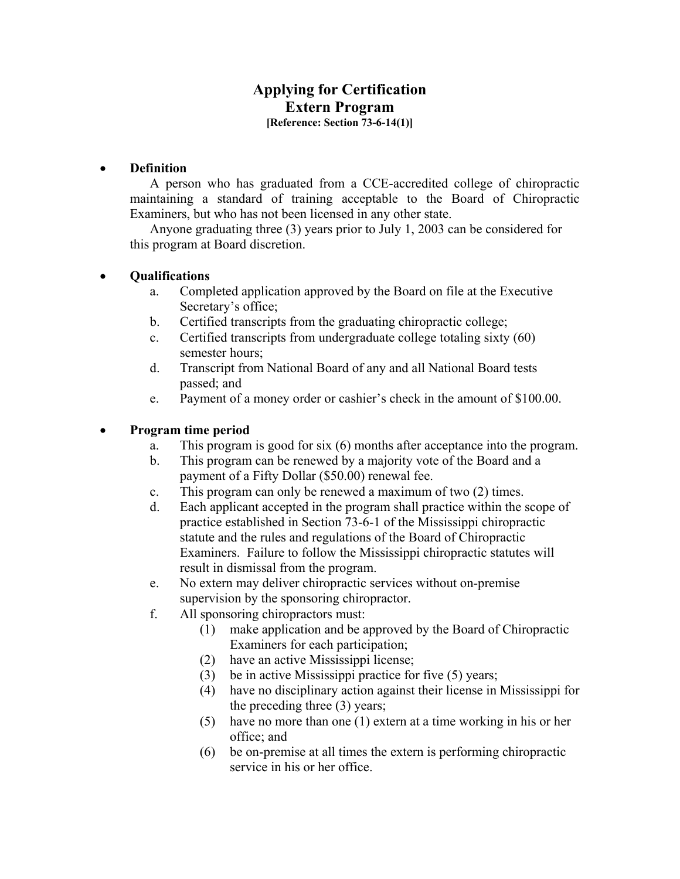## **Applying for Certification Extern Program [Reference: Section 73-6-14(1)]**

#### • **Definition**

A person who has graduated from a CCE-accredited college of chiropractic maintaining a standard of training acceptable to the Board of Chiropractic Examiners, but who has not been licensed in any other state.

 Anyone graduating three (3) years prior to July 1, 2003 can be considered for this program at Board discretion.

#### • **Qualifications**

- a. Completed application approved by the Board on file at the Executive Secretary's office;
- b. Certified transcripts from the graduating chiropractic college;
- c. Certified transcripts from undergraduate college totaling sixty (60) semester hours;
- d. Transcript from National Board of any and all National Board tests passed; and
- e. Payment of a money order or cashier's check in the amount of \$100.00.

#### • **Program time period**

- a. This program is good for six (6) months after acceptance into the program.
- b. This program can be renewed by a majority vote of the Board and a payment of a Fifty Dollar (\$50.00) renewal fee.
- c. This program can only be renewed a maximum of two (2) times.
- d. Each applicant accepted in the program shall practice within the scope of practice established in Section 73-6-1 of the Mississippi chiropractic statute and the rules and regulations of the Board of Chiropractic Examiners. Failure to follow the Mississippi chiropractic statutes will result in dismissal from the program.
- e. No extern may deliver chiropractic services without on-premise supervision by the sponsoring chiropractor.
- f. All sponsoring chiropractors must:
	- (1) make application and be approved by the Board of Chiropractic Examiners for each participation;
	- (2) have an active Mississippi license;
	- (3) be in active Mississippi practice for five (5) years;
	- (4) have no disciplinary action against their license in Mississippi for the preceding three (3) years;
	- (5) have no more than one (1) extern at a time working in his or her office; and
	- (6) be on-premise at all times the extern is performing chiropractic service in his or her office.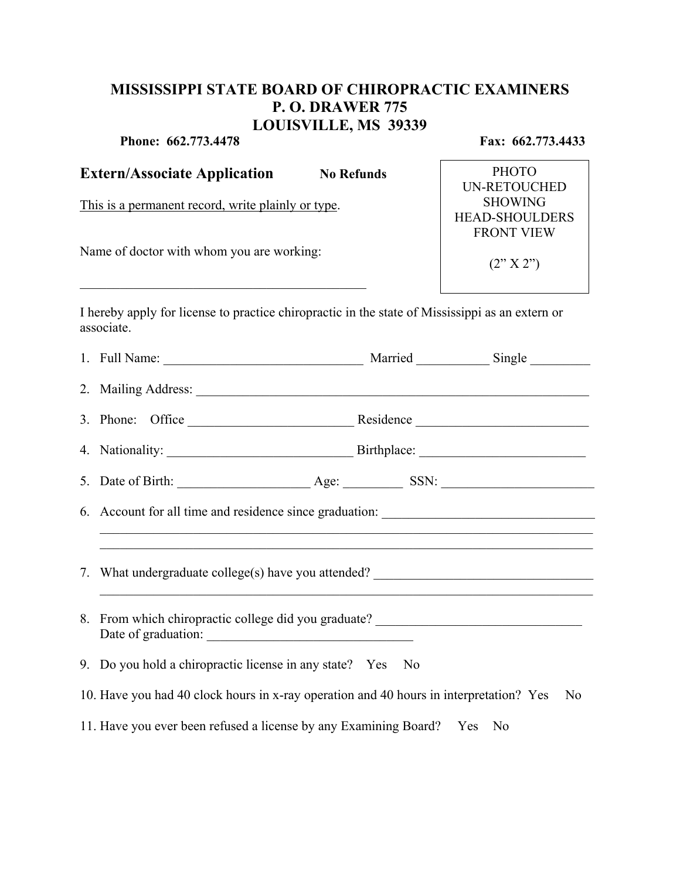# **MISSISSIPPI STATE BOARD OF CHIROPRACTIC EXAMINERS P. O. DRAWER 775 LOUISVILLE, MS 39339**

**Phone: 662.773.4478 Fax: 662.773.4433** 

| <b>Extern/Associate Application</b><br><b>No Refunds</b><br>This is a permanent record, write plainly or type.<br>Name of doctor with whom you are working: |                                                                                                         |  | <b>PHOTO</b><br><b>UN-RETOUCHED</b><br><b>SHOWING</b><br><b>HEAD-SHOULDERS</b><br><b>FRONT VIEW</b><br>(2'' X 2'') |  |
|-------------------------------------------------------------------------------------------------------------------------------------------------------------|---------------------------------------------------------------------------------------------------------|--|--------------------------------------------------------------------------------------------------------------------|--|
|                                                                                                                                                             |                                                                                                         |  |                                                                                                                    |  |
|                                                                                                                                                             |                                                                                                         |  |                                                                                                                    |  |
|                                                                                                                                                             |                                                                                                         |  |                                                                                                                    |  |
|                                                                                                                                                             |                                                                                                         |  |                                                                                                                    |  |
|                                                                                                                                                             |                                                                                                         |  |                                                                                                                    |  |
|                                                                                                                                                             |                                                                                                         |  |                                                                                                                    |  |
|                                                                                                                                                             | 6. Account for all time and residence since graduation: _________________________                       |  |                                                                                                                    |  |
|                                                                                                                                                             | 7. What undergraduate college(s) have you attended? ____________________________                        |  |                                                                                                                    |  |
|                                                                                                                                                             | 8. From which chiropractic college did you graduate? ___________________________<br>Date of graduation: |  |                                                                                                                    |  |
|                                                                                                                                                             | 9. Do you hold a chiropractic license in any state? Yes No                                              |  |                                                                                                                    |  |
|                                                                                                                                                             | 10. Have you had 40 clock hours in x-ray operation and 40 hours in interpretation? Yes                  |  | N <sub>0</sub>                                                                                                     |  |
|                                                                                                                                                             | 11. Have you ever been refused a license by any Examining Board? Yes No                                 |  |                                                                                                                    |  |